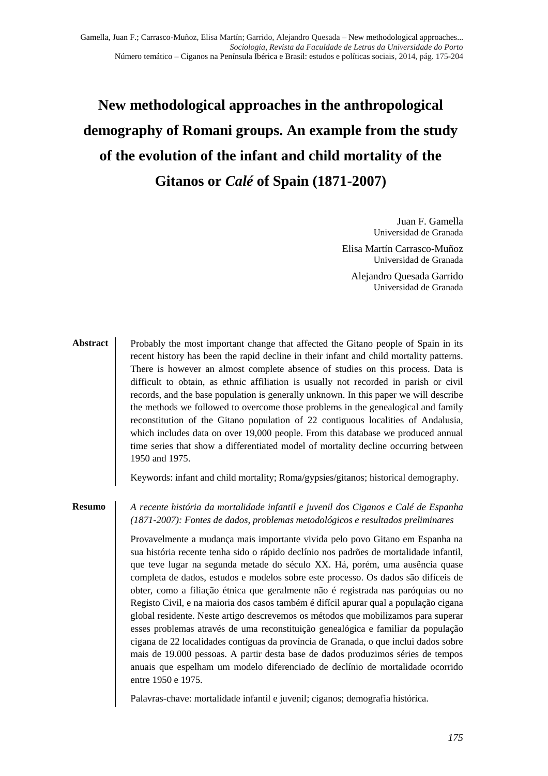# **New methodological approaches in the anthropological demography of Romani groups. An example from the study of the evolution of the infant and child mortality of the Gitanos or** *Calé* **of Spain (1871-2007)**

Juan F. Gamella Universidad de Granada

Elisa Martín Carrasco-Muñoz Universidad de Granada

Alejandro Quesada Garrido Universidad de Granada

Probably the most important change that affected the Gitano people of Spain in its recent history has been the rapid decline in their infant and child mortality patterns. There is however an almost complete absence of studies on this process. Data is difficult to obtain, as ethnic affiliation is usually not recorded in parish or civil records, and the base population is generally unknown. In this paper we will describe the methods we followed to overcome those problems in the genealogical and family reconstitution of the Gitano population of 22 contiguous localities of Andalusia, which includes data on over 19,000 people. From this database we produced annual time series that show a differentiated model of mortality decline occurring between 1950 and 1975. **Abstract**

Keywords: infant and child mortality; Roma/gypsies/gitanos; historical demography.

#### **Resumo**

*A recente história da mortalidade infantil e juvenil dos Ciganos e Calé de Espanha (1871-2007): Fontes de dados, problemas metodológicos e resultados preliminares*

Provavelmente a mudança mais importante vivida pelo povo Gitano em Espanha na sua história recente tenha sido o rápido declínio nos padrões de mortalidade infantil, que teve lugar na segunda metade do século XX. Há, porém, uma ausência quase completa de dados, estudos e modelos sobre este processo. Os dados são difíceis de obter, como a filiação étnica que geralmente não é registrada nas paróquias ou no Registo Civil, e na maioria dos casos também é difícil apurar qual a população cigana global residente. Neste artigo descrevemos os métodos que mobilizamos para superar esses problemas através de uma reconstituição genealógica e familiar da população cigana de 22 localidades contíguas da província de Granada, o que inclui dados sobre mais de 19.000 pessoas. A partir desta base de dados produzimos séries de tempos anuais que espelham um modelo diferenciado de declínio de mortalidade ocorrido entre 1950 e 1975.

Palavras-chave: mortalidade infantil e juvenil; ciganos; demografia histórica.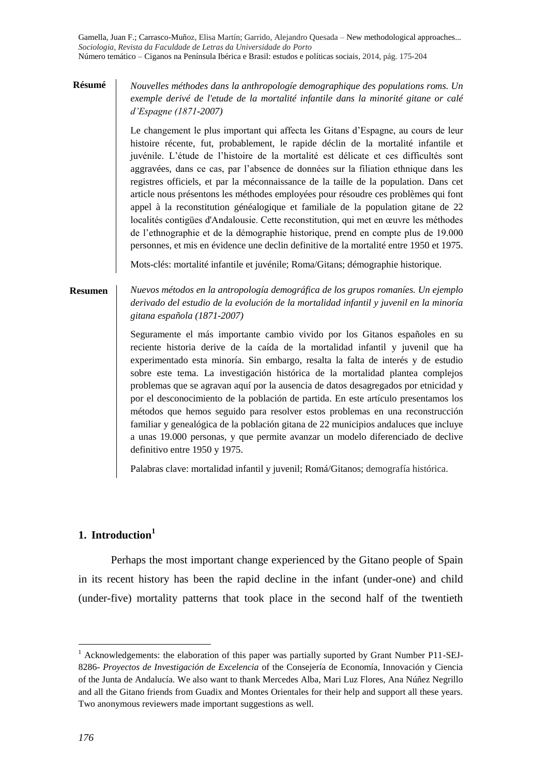#### **Résumé**

*Nouvelles méthodes dans la anthropologíe demographique des populations roms. Un exemple derivé de l'etude de la mortalité infantile dans la minorité gitane or calé d'Espagne (1871-2007)*

Le changement le plus important qui affecta les Gitans d'Espagne, au cours de leur histoire récente, fut, probablement, le rapide déclin de la mortalité infantile et juvénile. L'étude de l'histoire de la mortalité est délicate et ces difficultés sont aggravées, dans ce cas, par l'absence de données sur la filiation ethnique dans les registres officiels, et par la méconnaissance de la taille de la population. Dans cet article nous présentons les méthodes employées pour résoudre ces problèmes qui font appel à la reconstitution généalogique et familiale de la population gitane de 22 localités contigües d'Andalousie. Cette reconstitution, qui met en œuvre les méthodes de l'ethnographie et de la démographie historique, prend en compte plus de 19.000 personnes, et mis en évidence une declin definitive de la mortalité entre 1950 et 1975.

Mots-clés: mortalité infantile et juvénile; Roma/Gitans; démographie historique.

#### **Resumen**

*Nuevos métodos en la antropología demográfica de los grupos romaníes. Un ejemplo derivado del estudio de la evolución de la mortalidad infantil y juvenil en la minoría gitana española (1871-2007)*

Seguramente el más importante cambio vivido por los Gitanos españoles en su reciente historia derive de la caída de la mortalidad infantil y juvenil que ha experimentado esta minoría. Sin embargo, resalta la falta de interés y de estudio sobre este tema. La investigación histórica de la mortalidad plantea complejos problemas que se agravan aquí por la ausencia de datos desagregados por etnicidad y por el desconocimiento de la población de partida. En este artículo presentamos los métodos que hemos seguido para resolver estos problemas en una reconstrucción familiar y genealógica de la población gitana de 22 municipios andaluces que incluye a unas 19.000 personas, y que permite avanzar un modelo diferenciado de declive definitivo entre 1950 y 1975.

Palabras clave: mortalidad infantil y juvenil; Romá/Gitanos; demografía histórica.

# **1. Introduction<sup>1</sup>**

Perhaps the most important change experienced by the Gitano people of Spain in its recent history has been the rapid decline in the infant (under-one) and child (under-five) mortality patterns that took place in the second half of the twentieth

-

<sup>&</sup>lt;sup>1</sup> Acknowledgements: the elaboration of this paper was partially suported by Grant Number P11-SEJ-8286- *Proyectos de Investigación de Excelencia* of the Consejería de Economía, Innovación y Ciencia of the Junta de Andalucía. We also want to thank Mercedes Alba, Mari Luz Flores, Ana Núñez Negrillo and all the Gitano friends from Guadix and Montes Orientales for their help and support all these years. Two anonymous reviewers made important suggestions as well.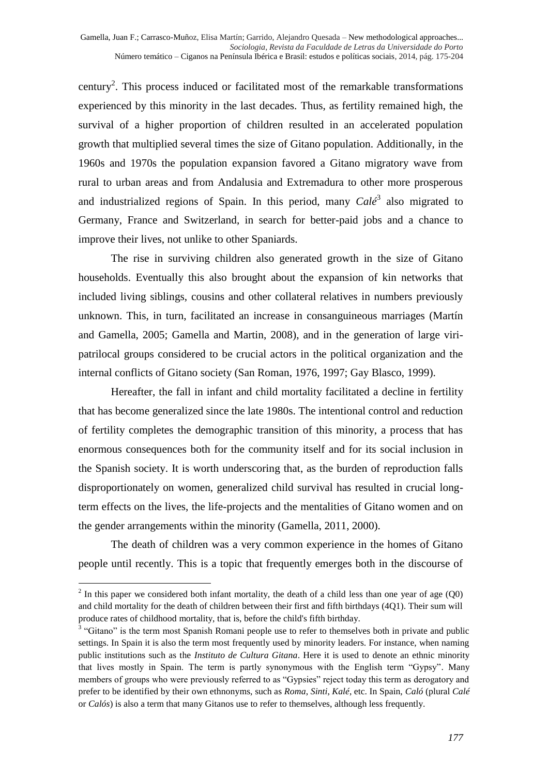century<sup>2</sup>. This process induced or facilitated most of the remarkable transformations experienced by this minority in the last decades. Thus, as fertility remained high, the survival of a higher proportion of children resulted in an accelerated population growth that multiplied several times the size of Gitano population. Additionally, in the 1960s and 1970s the population expansion favored a Gitano migratory wave from rural to urban areas and from Andalusia and Extremadura to other more prosperous and industrialized regions of Spain. In this period, many *Calé*<sup>3</sup> also migrated to Germany, France and Switzerland, in search for better-paid jobs and a chance to improve their lives, not unlike to other Spaniards.

The rise in surviving children also generated growth in the size of Gitano households. Eventually this also brought about the expansion of kin networks that included living siblings, cousins and other collateral relatives in numbers previously unknown. This, in turn, facilitated an increase in consanguineous marriages (Martín and Gamella, 2005; Gamella and Martin, 2008), and in the generation of large viripatrilocal groups considered to be crucial actors in the political organization and the internal conflicts of Gitano society (San Roman, 1976, 1997; Gay Blasco, 1999).

Hereafter, the fall in infant and child mortality facilitated a decline in fertility that has become generalized since the late 1980s. The intentional control and reduction of fertility completes the demographic transition of this minority, a process that has enormous consequences both for the community itself and for its social inclusion in the Spanish society. It is worth underscoring that, as the burden of reproduction falls disproportionately on women, generalized child survival has resulted in crucial longterm effects on the lives, the life-projects and the mentalities of Gitano women and on the gender arrangements within the minority (Gamella, 2011, 2000).

The death of children was a very common experience in the homes of Gitano people until recently. This is a topic that frequently emerges both in the discourse of

<sup>&</sup>lt;sup>2</sup> In this paper we considered both infant mortality, the death of a child less than one year of age (Q0) and child mortality for the death of children between their first and fifth birthdays (4Q1). Their sum will produce rates of childhood mortality, that is, before the child's fifth birthday.

<sup>&</sup>lt;sup>3</sup> "Gitano" is the term most Spanish Romani people use to refer to themselves both in private and public settings. In Spain it is also the term most frequently used by minority leaders. For instance, when naming public institutions such as the *Instituto de Cultura Gitana*. Here it is used to denote an ethnic minority that lives mostly in Spain. The term is partly synonymous with the English term "Gypsy". Many members of groups who were previously referred to as "Gypsies" reject today this term as derogatory and prefer to be identified by their own ethnonyms, such as *Roma*, *Sinti*, *Kalé*, etc. In Spain, *Caló* (plural *Calé* or *Calós*) is also a term that many Gitanos use to refer to themselves, although less frequently.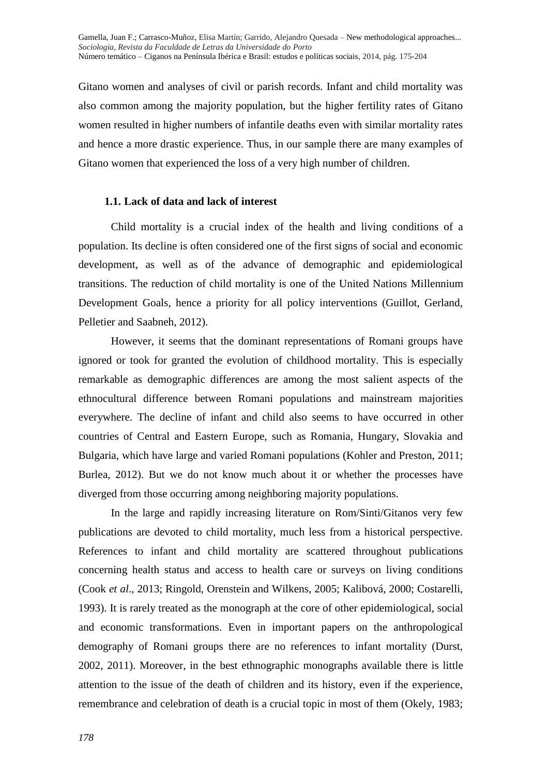Gitano women and analyses of civil or parish records. Infant and child mortality was also common among the majority population, but the higher fertility rates of Gitano women resulted in higher numbers of infantile deaths even with similar mortality rates and hence a more drastic experience. Thus, in our sample there are many examples of Gitano women that experienced the loss of a very high number of children.

# **1.1. Lack of data and lack of interest**

Child mortality is a crucial index of the health and living conditions of a population. Its decline is often considered one of the first signs of social and economic development, as well as of the advance of demographic and epidemiological transitions. The reduction of child mortality is one of the United Nations Millennium Development Goals, hence a priority for all policy interventions (Guillot, Gerland, Pelletier and Saabneh, 2012).

However, it seems that the dominant representations of Romani groups have ignored or took for granted the evolution of childhood mortality. This is especially remarkable as demographic differences are among the most salient aspects of the ethnocultural difference between Romani populations and mainstream majorities everywhere. The decline of infant and child also seems to have occurred in other countries of Central and Eastern Europe, such as Romania, Hungary, Slovakia and Bulgaria, which have large and varied Romani populations (Kohler and Preston, 2011; Burlea, 2012). But we do not know much about it or whether the processes have diverged from those occurring among neighboring majority populations.

In the large and rapidly increasing literature on Rom/Sinti/Gitanos very few publications are devoted to child mortality, much less from a historical perspective. References to infant and child mortality are scattered throughout publications concerning health status and access to health care or surveys on living conditions (Cook *et al*., 2013; Ringold, Orenstein and Wilkens, 2005; Kalibová, 2000; Costarelli, 1993). It is rarely treated as the monograph at the core of other epidemiological, social and economic transformations. Even in important papers on the anthropological demography of Romani groups there are no references to infant mortality (Durst, 2002, 2011). Moreover, in the best ethnographic monographs available there is little attention to the issue of the death of children and its history, even if the experience, remembrance and celebration of death is a crucial topic in most of them (Okely, 1983;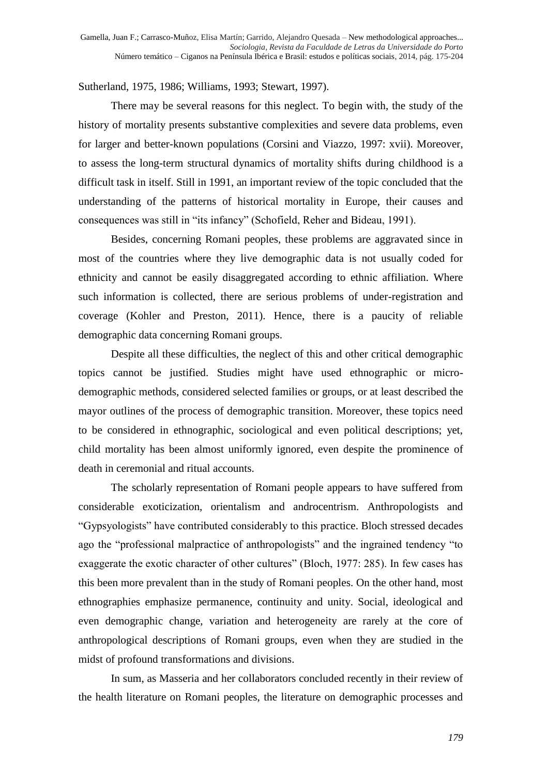Sutherland, 1975, 1986; Williams, 1993; Stewart, 1997).

There may be several reasons for this neglect. To begin with, the study of the history of mortality presents substantive complexities and severe data problems, even for larger and better-known populations (Corsini and Viazzo, 1997: xvii). Moreover, to assess the long-term structural dynamics of mortality shifts during childhood is a difficult task in itself. Still in 1991, an important review of the topic concluded that the understanding of the patterns of historical mortality in Europe, their causes and consequences was still in "its infancy" (Schofield, Reher and Bideau, 1991).

Besides, concerning Romani peoples, these problems are aggravated since in most of the countries where they live demographic data is not usually coded for ethnicity and cannot be easily disaggregated according to ethnic affiliation. Where such information is collected, there are serious problems of under-registration and coverage (Kohler and Preston, 2011). Hence, there is a paucity of reliable demographic data concerning Romani groups.

Despite all these difficulties, the neglect of this and other critical demographic topics cannot be justified. Studies might have used ethnographic or microdemographic methods, considered selected families or groups, or at least described the mayor outlines of the process of demographic transition. Moreover, these topics need to be considered in ethnographic, sociological and even political descriptions; yet, child mortality has been almost uniformly ignored, even despite the prominence of death in ceremonial and ritual accounts.

The scholarly representation of Romani people appears to have suffered from considerable exoticization, orientalism and androcentrism. Anthropologists and "Gypsyologists" have contributed considerably to this practice. Bloch stressed decades ago the "professional malpractice of anthropologists" and the ingrained tendency "to exaggerate the exotic character of other cultures" (Bloch, 1977: 285). In few cases has this been more prevalent than in the study of Romani peoples. On the other hand, most ethnographies emphasize permanence, continuity and unity. Social, ideological and even demographic change, variation and heterogeneity are rarely at the core of anthropological descriptions of Romani groups, even when they are studied in the midst of profound transformations and divisions.

In sum, as Masseria and her collaborators concluded recently in their review of the health literature on Romani peoples, the literature on demographic processes and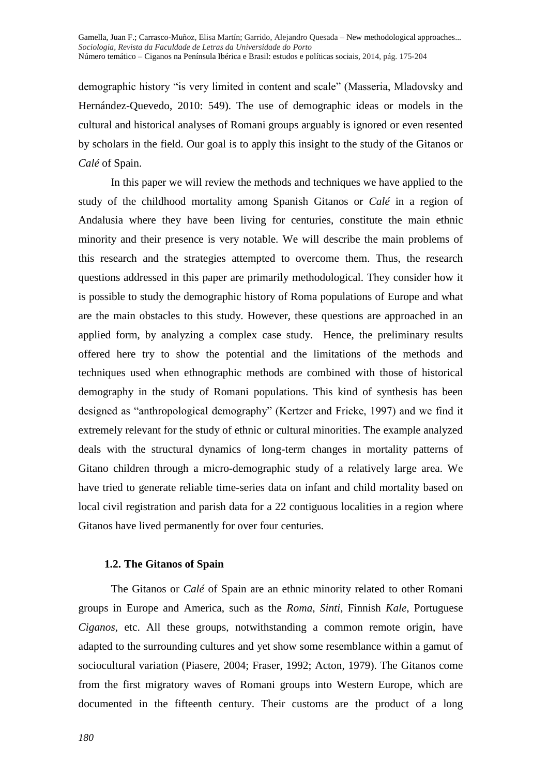demographic history "is very limited in content and scale" (Masseria, Mladovsky and Hernández-Quevedo, 2010: 549). The use of demographic ideas or models in the cultural and historical analyses of Romani groups arguably is ignored or even resented by scholars in the field. Our goal is to apply this insight to the study of the Gitanos or *Calé* of Spain.

In this paper we will review the methods and techniques we have applied to the study of the childhood mortality among Spanish Gitanos or *Calé* in a region of Andalusia where they have been living for centuries, constitute the main ethnic minority and their presence is very notable. We will describe the main problems of this research and the strategies attempted to overcome them. Thus, the research questions addressed in this paper are primarily methodological. They consider how it is possible to study the demographic history of Roma populations of Europe and what are the main obstacles to this study. However, these questions are approached in an applied form, by analyzing a complex case study. Hence, the preliminary results offered here try to show the potential and the limitations of the methods and techniques used when ethnographic methods are combined with those of historical demography in the study of Romani populations. This kind of synthesis has been designed as "anthropological demography" (Kertzer and Fricke, 1997) and we find it extremely relevant for the study of ethnic or cultural minorities. The example analyzed deals with the structural dynamics of long-term changes in mortality patterns of Gitano children through a micro-demographic study of a relatively large area. We have tried to generate reliable time-series data on infant and child mortality based on local civil registration and parish data for a 22 contiguous localities in a region where Gitanos have lived permanently for over four centuries.

## **1.2. The Gitanos of Spain**

The Gitanos or *Calé* of Spain are an ethnic minority related to other Romani groups in Europe and America, such as the *Roma*, *Sinti*, Finnish *Kale*, Portuguese *Ciganos*, etc. All these groups, notwithstanding a common remote origin, have adapted to the surrounding cultures and yet show some resemblance within a gamut of sociocultural variation (Piasere, 2004; Fraser, 1992; Acton, 1979). The Gitanos come from the first migratory waves of Romani groups into Western Europe, which are documented in the fifteenth century. Their customs are the product of a long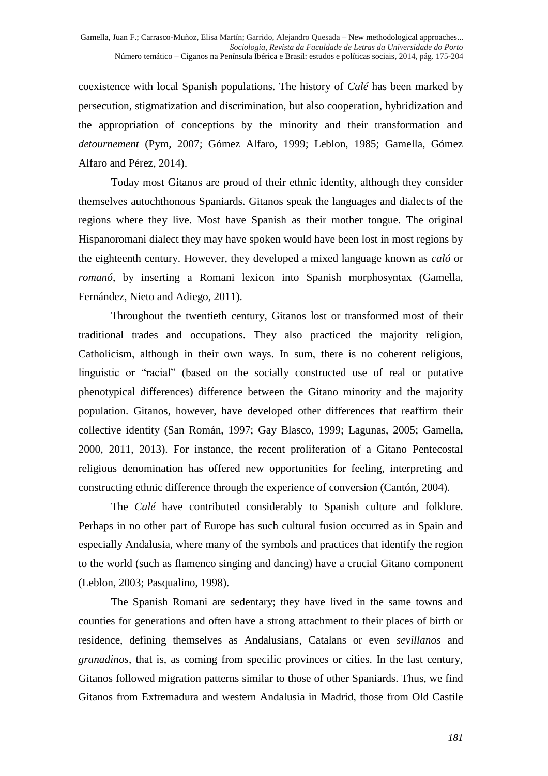coexistence with local Spanish populations. The history of *Calé* has been marked by persecution, stigmatization and discrimination, but also cooperation, hybridization and the appropriation of conceptions by the minority and their transformation and *detournement* (Pym, 2007; Gómez Alfaro, 1999; Leblon, 1985; Gamella, Gómez Alfaro and Pérez, 2014).

Today most Gitanos are proud of their ethnic identity, although they consider themselves autochthonous Spaniards. Gitanos speak the languages and dialects of the regions where they live. Most have Spanish as their mother tongue. The original Hispanoromani dialect they may have spoken would have been lost in most regions by the eighteenth century. However, they developed a mixed language known as *caló* or *romanó*, by inserting a Romani lexicon into Spanish morphosyntax (Gamella, Fernández, Nieto and Adiego, 2011).

Throughout the twentieth century, Gitanos lost or transformed most of their traditional trades and occupations. They also practiced the majority religion, Catholicism, although in their own ways. In sum, there is no coherent religious, linguistic or "racial" (based on the socially constructed use of real or putative phenotypical differences) difference between the Gitano minority and the majority population. Gitanos, however, have developed other differences that reaffirm their collective identity (San Román, 1997; Gay Blasco, 1999; Lagunas, 2005; Gamella, 2000, 2011, 2013). For instance, the recent proliferation of a Gitano Pentecostal religious denomination has offered new opportunities for feeling, interpreting and constructing ethnic difference through the experience of conversion (Cantón, 2004).

The *Calé* have contributed considerably to Spanish culture and folklore. Perhaps in no other part of Europe has such cultural fusion occurred as in Spain and especially Andalusia, where many of the symbols and practices that identify the region to the world (such as flamenco singing and dancing) have a crucial Gitano component (Leblon, 2003; Pasqualino, 1998).

The Spanish Romani are sedentary; they have lived in the same towns and counties for generations and often have a strong attachment to their places of birth or residence, defining themselves as Andalusians, Catalans or even *sevillanos* and *granadinos*, that is, as coming from specific provinces or cities. In the last century, Gitanos followed migration patterns similar to those of other Spaniards. Thus, we find Gitanos from Extremadura and western Andalusia in Madrid, those from Old Castile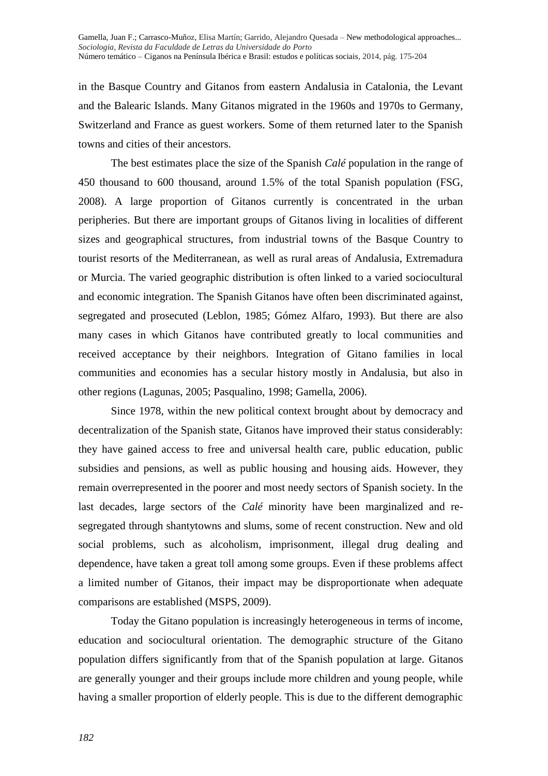in the Basque Country and Gitanos from eastern Andalusia in Catalonia, the Levant and the Balearic Islands. Many Gitanos migrated in the 1960s and 1970s to Germany, Switzerland and France as guest workers. Some of them returned later to the Spanish towns and cities of their ancestors.

The best estimates place the size of the Spanish *Calé* population in the range of 450 thousand to 600 thousand, around 1.5% of the total Spanish population (FSG, 2008). A large proportion of Gitanos currently is concentrated in the urban peripheries. But there are important groups of Gitanos living in localities of different sizes and geographical structures, from industrial towns of the Basque Country to tourist resorts of the Mediterranean, as well as rural areas of Andalusia, Extremadura or Murcia. The varied geographic distribution is often linked to a varied sociocultural and economic integration. The Spanish Gitanos have often been discriminated against, segregated and prosecuted (Leblon, 1985; Gómez Alfaro, 1993). But there are also many cases in which Gitanos have contributed greatly to local communities and received acceptance by their neighbors. Integration of Gitano families in local communities and economies has a secular history mostly in Andalusia, but also in other regions (Lagunas, 2005; Pasqualino, 1998; Gamella, 2006).

Since 1978, within the new political context brought about by democracy and decentralization of the Spanish state, Gitanos have improved their status considerably: they have gained access to free and universal health care, public education, public subsidies and pensions, as well as public housing and housing aids. However, they remain overrepresented in the poorer and most needy sectors of Spanish society. In the last decades, large sectors of the *Calé* minority have been marginalized and resegregated through shantytowns and slums, some of recent construction. New and old social problems, such as alcoholism, imprisonment, illegal drug dealing and dependence, have taken a great toll among some groups. Even if these problems affect a limited number of Gitanos, their impact may be disproportionate when adequate comparisons are established (MSPS, 2009).

Today the Gitano population is increasingly heterogeneous in terms of income, education and sociocultural orientation. The demographic structure of the Gitano population differs significantly from that of the Spanish population at large. Gitanos are generally younger and their groups include more children and young people, while having a smaller proportion of elderly people. This is due to the different demographic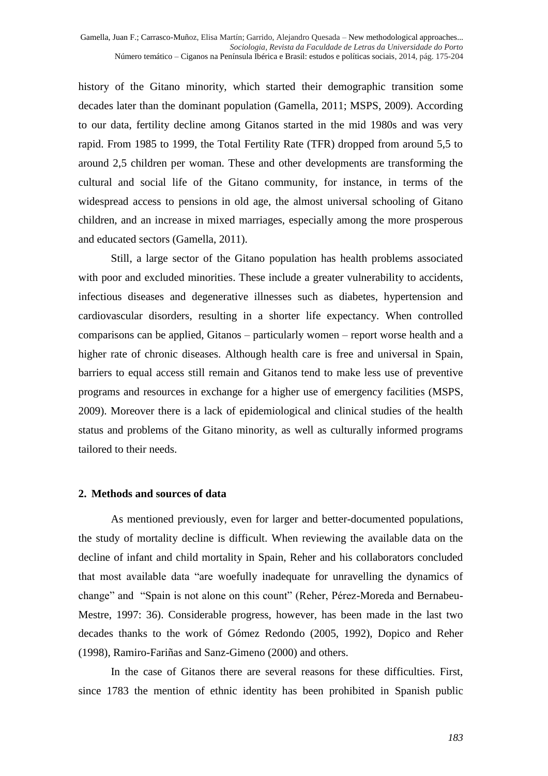history of the Gitano minority, which started their demographic transition some decades later than the dominant population (Gamella, 2011; MSPS, 2009). According to our data, fertility decline among Gitanos started in the mid 1980s and was very rapid. From 1985 to 1999, the Total Fertility Rate (TFR) dropped from around 5,5 to around 2,5 children per woman. These and other developments are transforming the cultural and social life of the Gitano community, for instance, in terms of the widespread access to pensions in old age, the almost universal schooling of Gitano children, and an increase in mixed marriages, especially among the more prosperous and educated sectors (Gamella, 2011).

Still, a large sector of the Gitano population has health problems associated with poor and excluded minorities. These include a greater vulnerability to accidents, infectious diseases and degenerative illnesses such as diabetes, hypertension and cardiovascular disorders, resulting in a shorter life expectancy. When controlled comparisons can be applied, Gitanos – particularly women – report worse health and a higher rate of chronic diseases. Although health care is free and universal in Spain, barriers to equal access still remain and Gitanos tend to make less use of preventive programs and resources in exchange for a higher use of emergency facilities (MSPS, 2009). Moreover there is a lack of epidemiological and clinical studies of the health status and problems of the Gitano minority, as well as culturally informed programs tailored to their needs.

#### **2. Methods and sources of data**

As mentioned previously, even for larger and better-documented populations, the study of mortality decline is difficult. When reviewing the available data on the decline of infant and child mortality in Spain, Reher and his collaborators concluded that most available data "are woefully inadequate for unravelling the dynamics of change" and "Spain is not alone on this count" (Reher, Pérez-Moreda and Bernabeu-Mestre, 1997: 36). Considerable progress, however, has been made in the last two decades thanks to the work of Gómez Redondo (2005, 1992), Dopico and Reher (1998), Ramiro-Fariñas and Sanz-Gimeno (2000) and others.

In the case of Gitanos there are several reasons for these difficulties. First, since 1783 the mention of ethnic identity has been prohibited in Spanish public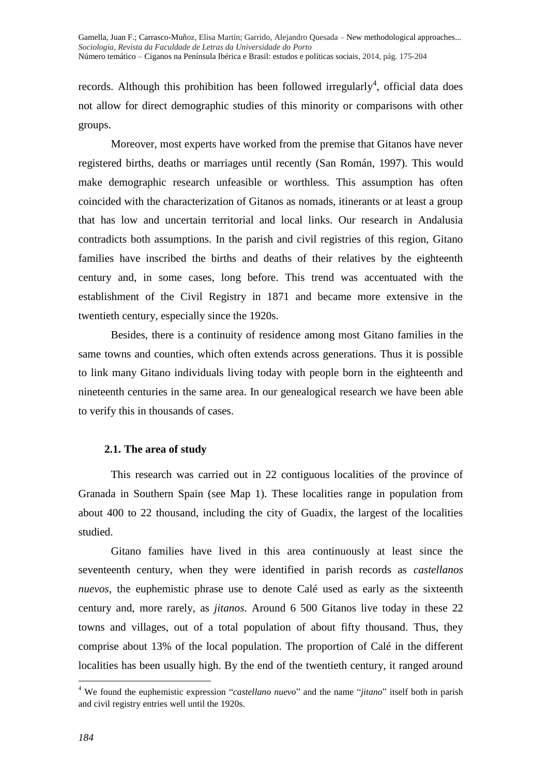records. Although this prohibition has been followed irregularly<sup>4</sup>, official data does not allow for direct demographic studies of this minority or comparisons with other groups.

Moreover, most experts have worked from the premise that Gitanos have never registered births, deaths or marriages until recently (San Román, 1997). This would make demographic research unfeasible or worthless. This assumption has often coincided with the characterization of Gitanos as nomads, itinerants or at least a group that has low and uncertain territorial and local links. Our research in Andalusia contradicts both assumptions. In the parish and civil registries of this region, Gitano families have inscribed the births and deaths of their relatives by the eighteenth century and, in some cases, long before. This trend was accentuated with the establishment of the Civil Registry in 1871 and became more extensive in the twentieth century, especially since the 1920s.

Besides, there is a continuity of residence among most Gitano families in the same towns and counties, which often extends across generations. Thus it is possible to link many Gitano individuals living today with people born in the eighteenth and nineteenth centuries in the same area. In our genealogical research we have been able to verify this in thousands of cases.

# **2.1. The area of study**

This research was carried out in 22 contiguous localities of the province of Granada in Southern Spain (see Map 1). These localities range in population from about 400 to 22 thousand, including the city of Guadix, the largest of the localities studied.

Gitano families have lived in this area continuously at least since the seventeenth century, when they were identified in parish records as *castellanos nuevos*, the euphemistic phrase use to denote Calé used as early as the sixteenth century and, more rarely, as *jitanos*. Around 6 500 Gitanos live today in these 22 towns and villages, out of a total population of about fifty thousand. Thus, they comprise about 13% of the local population. The proportion of Calé in the different localities has been usually high. By the end of the twentieth century, it ranged around

-

<sup>4</sup> We found the euphemistic expression "*castellano nuevo*" and the name "*jitano*" itself both in parish and civil registry entries well until the 1920s.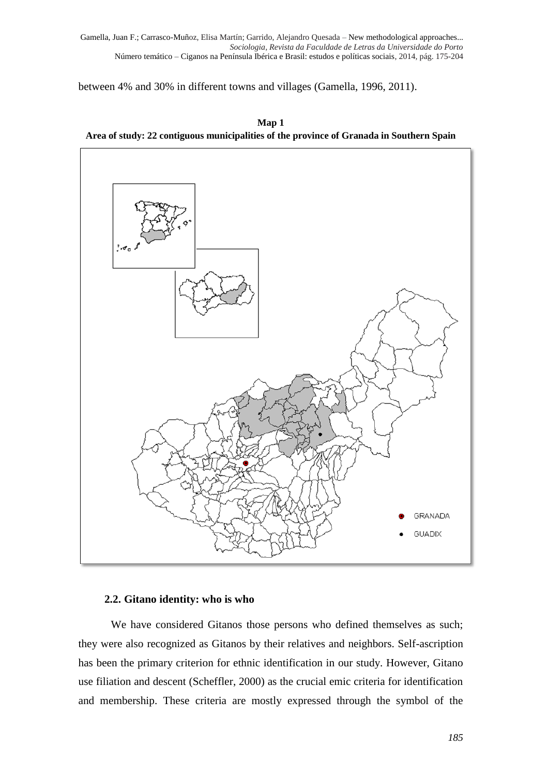between 4% and 30% in different towns and villages (Gamella, 1996, 2011).





# **2.2. Gitano identity: who is who**

We have considered Gitanos those persons who defined themselves as such; they were also recognized as Gitanos by their relatives and neighbors. Self-ascription has been the primary criterion for ethnic identification in our study. However, Gitano use filiation and descent (Scheffler, 2000) as the crucial emic criteria for identification and membership. These criteria are mostly expressed through the symbol of the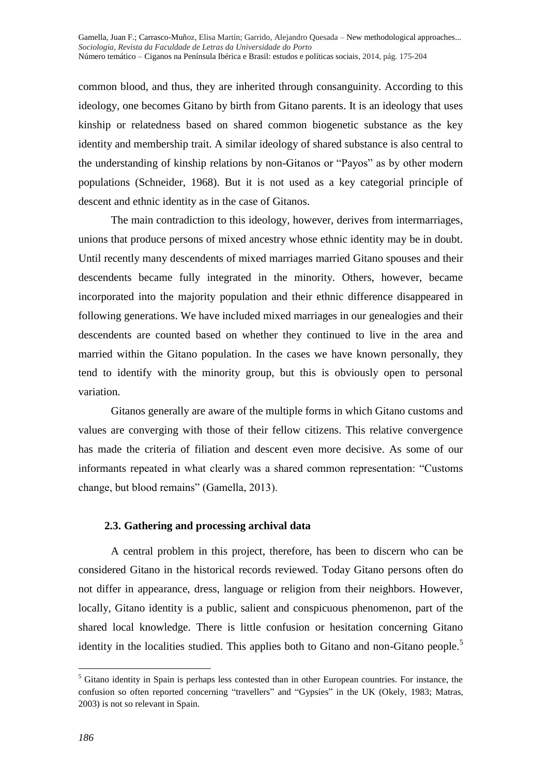common blood, and thus, they are inherited through consanguinity. According to this ideology, one becomes Gitano by birth from Gitano parents. It is an ideology that uses kinship or relatedness based on shared common biogenetic substance as the key identity and membership trait. A similar ideology of shared substance is also central to the understanding of kinship relations by non-Gitanos or "Payos" as by other modern populations (Schneider, 1968). But it is not used as a key categorial principle of descent and ethnic identity as in the case of Gitanos.

The main contradiction to this ideology, however, derives from intermarriages, unions that produce persons of mixed ancestry whose ethnic identity may be in doubt. Until recently many descendents of mixed marriages married Gitano spouses and their descendents became fully integrated in the minority. Others, however, became incorporated into the majority population and their ethnic difference disappeared in following generations. We have included mixed marriages in our genealogies and their descendents are counted based on whether they continued to live in the area and married within the Gitano population. In the cases we have known personally, they tend to identify with the minority group, but this is obviously open to personal variation.

Gitanos generally are aware of the multiple forms in which Gitano customs and values are converging with those of their fellow citizens. This relative convergence has made the criteria of filiation and descent even more decisive. As some of our informants repeated in what clearly was a shared common representation: "Customs change, but blood remains" (Gamella, 2013).

## **2.3. Gathering and processing archival data**

A central problem in this project, therefore, has been to discern who can be considered Gitano in the historical records reviewed. Today Gitano persons often do not differ in appearance, dress, language or religion from their neighbors. However, locally, Gitano identity is a public, salient and conspicuous phenomenon, part of the shared local knowledge. There is little confusion or hesitation concerning Gitano identity in the localities studied. This applies both to Gitano and non-Gitano people.<sup>5</sup>

-

<sup>5</sup> Gitano identity in Spain is perhaps less contested than in other European countries. For instance, the confusion so often reported concerning "travellers" and "Gypsies" in the UK (Okely, 1983; Matras, 2003) is not so relevant in Spain.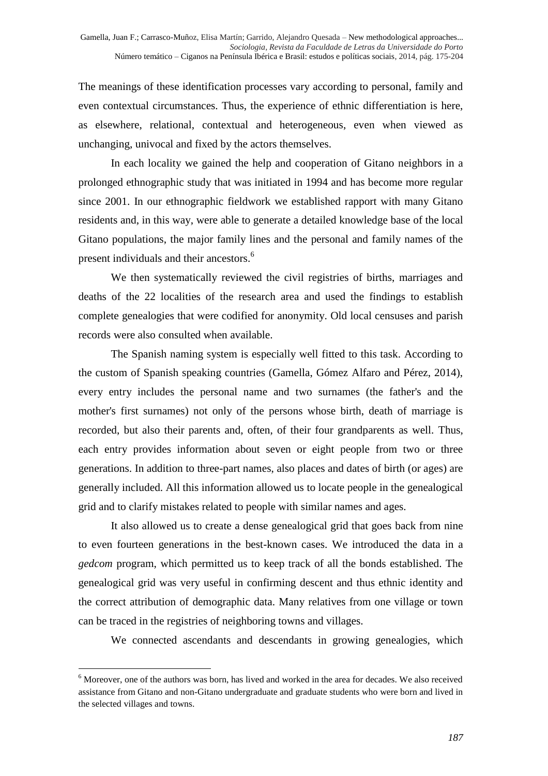The meanings of these identification processes vary according to personal, family and even contextual circumstances. Thus, the experience of ethnic differentiation is here, as elsewhere, relational, contextual and heterogeneous, even when viewed as unchanging, univocal and fixed by the actors themselves.

In each locality we gained the help and cooperation of Gitano neighbors in a prolonged ethnographic study that was initiated in 1994 and has become more regular since 2001. In our ethnographic fieldwork we established rapport with many Gitano residents and, in this way, were able to generate a detailed knowledge base of the local Gitano populations, the major family lines and the personal and family names of the present individuals and their ancestors.<sup>6</sup>

We then systematically reviewed the civil registries of births, marriages and deaths of the 22 localities of the research area and used the findings to establish complete genealogies that were codified for anonymity. Old local censuses and parish records were also consulted when available.

The Spanish naming system is especially well fitted to this task. According to the custom of Spanish speaking countries (Gamella, Gómez Alfaro and Pérez, 2014), every entry includes the personal name and two surnames (the father's and the mother's first surnames) not only of the persons whose birth, death of marriage is recorded, but also their parents and, often, of their four grandparents as well. Thus, each entry provides information about seven or eight people from two or three generations. In addition to three-part names, also places and dates of birth (or ages) are generally included. All this information allowed us to locate people in the genealogical grid and to clarify mistakes related to people with similar names and ages.

It also allowed us to create a dense genealogical grid that goes back from nine to even fourteen generations in the best-known cases. We introduced the data in a *gedcom* program, which permitted us to keep track of all the bonds established. The genealogical grid was very useful in confirming descent and thus ethnic identity and the correct attribution of demographic data. Many relatives from one village or town can be traced in the registries of neighboring towns and villages.

We connected ascendants and descendants in growing genealogies, which

<sup>-</sup><sup>6</sup> Moreover, one of the authors was born, has lived and worked in the area for decades. We also received assistance from Gitano and non-Gitano undergraduate and graduate students who were born and lived in the selected villages and towns.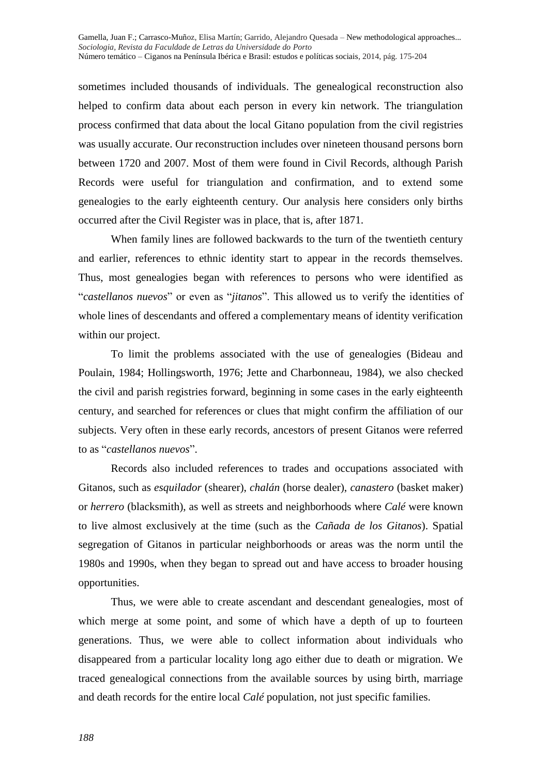sometimes included thousands of individuals. The genealogical reconstruction also helped to confirm data about each person in every kin network. The triangulation process confirmed that data about the local Gitano population from the civil registries was usually accurate. Our reconstruction includes over nineteen thousand persons born between 1720 and 2007. Most of them were found in Civil Records, although Parish Records were useful for triangulation and confirmation, and to extend some genealogies to the early eighteenth century. Our analysis here considers only births occurred after the Civil Register was in place, that is, after 1871.

When family lines are followed backwards to the turn of the twentieth century and earlier, references to ethnic identity start to appear in the records themselves. Thus, most genealogies began with references to persons who were identified as "*castellanos nuevos*" or even as "*jitanos*". This allowed us to verify the identities of whole lines of descendants and offered a complementary means of identity verification within our project.

To limit the problems associated with the use of genealogies (Bideau and Poulain, 1984; Hollingsworth, 1976; Jette and Charbonneau, 1984), we also checked the civil and parish registries forward, beginning in some cases in the early eighteenth century, and searched for references or clues that might confirm the affiliation of our subjects. Very often in these early records, ancestors of present Gitanos were referred to as "*castellanos nuevos*".

Records also included references to trades and occupations associated with Gitanos, such as *esquilador* (shearer), *chalán* (horse dealer), *canastero* (basket maker) or *herrero* (blacksmith), as well as streets and neighborhoods where *Calé* were known to live almost exclusively at the time (such as the *Cañada de los Gitanos*). Spatial segregation of Gitanos in particular neighborhoods or areas was the norm until the 1980s and 1990s, when they began to spread out and have access to broader housing opportunities.

Thus, we were able to create ascendant and descendant genealogies, most of which merge at some point, and some of which have a depth of up to fourteen generations. Thus, we were able to collect information about individuals who disappeared from a particular locality long ago either due to death or migration. We traced genealogical connections from the available sources by using birth, marriage and death records for the entire local *Calé* population, not just specific families.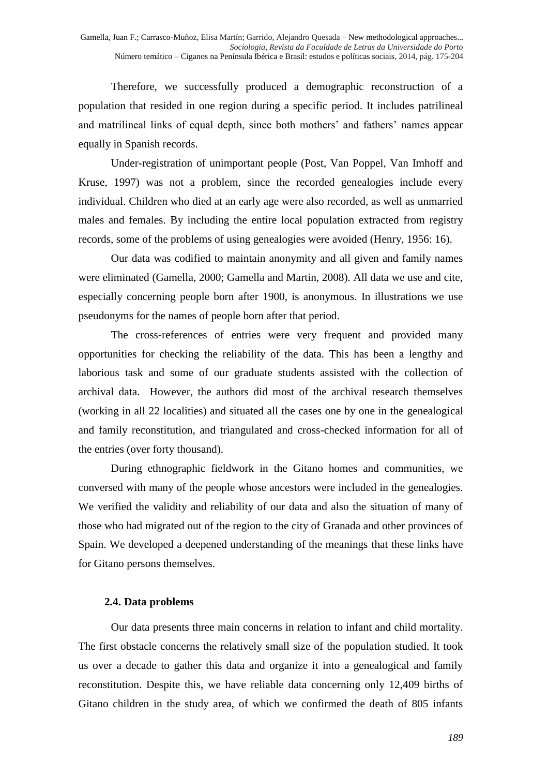Therefore, we successfully produced a demographic reconstruction of a population that resided in one region during a specific period. It includes patrilineal and matrilineal links of equal depth, since both mothers' and fathers' names appear equally in Spanish records.

Under-registration of unimportant people (Post, Van Poppel, Van Imhoff and Kruse, 1997) was not a problem, since the recorded genealogies include every individual. Children who died at an early age were also recorded, as well as unmarried males and females. By including the entire local population extracted from registry records, some of the problems of using genealogies were avoided (Henry, 1956: 16).

Our data was codified to maintain anonymity and all given and family names were eliminated (Gamella, 2000; Gamella and Martin, 2008). All data we use and cite, especially concerning people born after 1900, is anonymous. In illustrations we use pseudonyms for the names of people born after that period.

The cross-references of entries were very frequent and provided many opportunities for checking the reliability of the data. This has been a lengthy and laborious task and some of our graduate students assisted with the collection of archival data. However, the authors did most of the archival research themselves (working in all 22 localities) and situated all the cases one by one in the genealogical and family reconstitution, and triangulated and cross-checked information for all of the entries (over forty thousand).

During ethnographic fieldwork in the Gitano homes and communities, we conversed with many of the people whose ancestors were included in the genealogies. We verified the validity and reliability of our data and also the situation of many of those who had migrated out of the region to the city of Granada and other provinces of Spain. We developed a deepened understanding of the meanings that these links have for Gitano persons themselves.

# **2.4. Data problems**

Our data presents three main concerns in relation to infant and child mortality. The first obstacle concerns the relatively small size of the population studied. It took us over a decade to gather this data and organize it into a genealogical and family reconstitution. Despite this, we have reliable data concerning only 12,409 births of Gitano children in the study area, of which we confirmed the death of 805 infants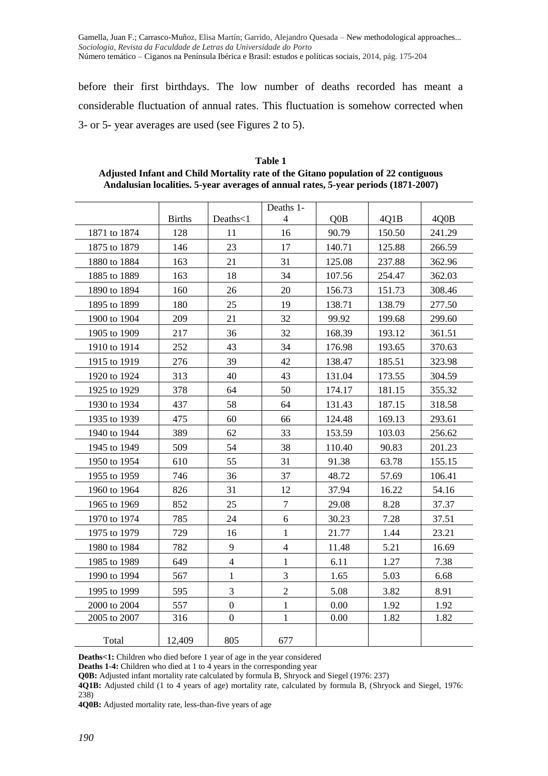before their first birthdays. The low number of deaths recorded has meant a considerable fluctuation of annual rates. This fluctuation is somehow corrected when 3- or 5- year averages are used (see Figures 2 to 5).

|              |               |                  | Deaths 1-      |                  |        |        |
|--------------|---------------|------------------|----------------|------------------|--------|--------|
|              | <b>Births</b> | Deaths<1         | 4              | Q <sub>0</sub> B | 4Q1B   | 4Q0B   |
| 1871 to 1874 | 128           | 11               | 16             | 90.79            | 150.50 | 241.29 |
| 1875 to 1879 | 146           | 23               | 17             | 140.71           | 125.88 | 266.59 |
| 1880 to 1884 | 163           | 21               | 31             | 125.08           | 237.88 | 362.96 |
| 1885 to 1889 | 163           | 18               | 34             | 107.56           | 254.47 | 362.03 |
| 1890 to 1894 | 160           | 26               | 20             | 156.73           | 151.73 | 308.46 |
| 1895 to 1899 | 180           | 25               | 19             | 138.71           | 138.79 | 277.50 |
| 1900 to 1904 | 209           | 21               | 32             | 99.92            | 199.68 | 299.60 |
| 1905 to 1909 | 217           | 36               | 32             | 168.39           | 193.12 | 361.51 |
| 1910 to 1914 | 252           | 43               | 34             | 176.98           | 193.65 | 370.63 |
| 1915 to 1919 | 276           | 39               | 42             | 138.47           | 185.51 | 323.98 |
| 1920 to 1924 | 313           | 40               | 43             | 131.04           | 173.55 | 304.59 |
| 1925 to 1929 | 378           | 64               | 50             | 174.17           | 181.15 | 355.32 |
| 1930 to 1934 | 437           | 58               | 64             | 131.43           | 187.15 | 318.58 |
| 1935 to 1939 | 475           | 60               | 66             | 124.48           | 169.13 | 293.61 |
| 1940 to 1944 | 389           | 62               | 33             | 153.59           | 103.03 | 256.62 |
| 1945 to 1949 | 509           | 54               | 38             | 110.40           | 90.83  | 201.23 |
| 1950 to 1954 | 610           | 55               | 31             | 91.38            | 63.78  | 155.15 |
| 1955 to 1959 | 746           | 36               | 37             | 48.72            | 57.69  | 106.41 |
| 1960 to 1964 | 826           | 31               | 12             | 37.94            | 16.22  | 54.16  |
| 1965 to 1969 | 852           | 25               | $\overline{7}$ | 29.08            | 8.28   | 37.37  |
| 1970 to 1974 | 785           | 24               | 6              | 30.23            | 7.28   | 37.51  |
| 1975 to 1979 | 729           | 16               | $\mathbf{1}$   | 21.77            | 1.44   | 23.21  |
| 1980 to 1984 | 782           | 9                | $\overline{4}$ | 11.48            | 5.21   | 16.69  |
| 1985 to 1989 | 649           | $\overline{4}$   | 1              | 6.11             | 1.27   | 7.38   |
| 1990 to 1994 | 567           | 1                | 3              | 1.65             | 5.03   | 6.68   |
| 1995 to 1999 | 595           | 3                | $\overline{2}$ | 5.08             | 3.82   | 8.91   |
| 2000 to 2004 | 557           | $\boldsymbol{0}$ | $\mathbf{1}$   | 0.00             | 1.92   | 1.92   |
| 2005 to 2007 | 316           | $\mathbf{0}$     | $\mathbf{1}$   | 0.00             | 1.82   | 1.82   |
| Total        | 12,409        | 805              | 677            |                  |        |        |

**Table 1 Adjusted Infant and Child Mortality rate of the Gitano population of 22 contiguous Andalusian localities. 5-year averages of annual rates, 5-year periods (1871-2007)**

**Deaths<1:** Children who died before 1 year of age in the year considered

**Deaths 1-4:** Children who died at 1 to 4 years in the corresponding year

**Q0B:** Adjusted infant mortality rate calculated by formula B, Shryock and Siegel (1976: 237)

**4Q1B:** Adjusted child (1 to 4 years of age) mortality rate, calculated by formula B, (Shryock and Siegel, 1976: 238)

**4Q0B:** Adjusted mortality rate, less-than-five years of age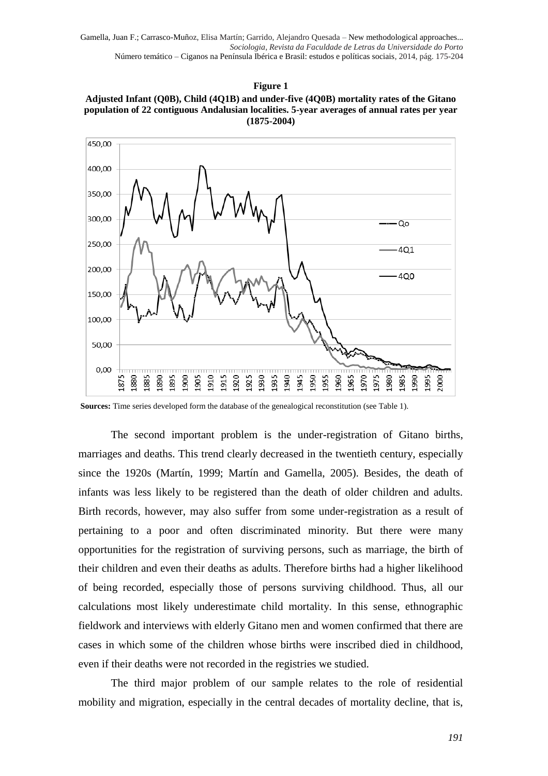#### **Figure 1**





**Sources:** Time series developed form the database of the genealogical reconstitution (see Table 1).

The second important problem is the under-registration of Gitano births, marriages and deaths. This trend clearly decreased in the twentieth century, especially since the 1920s (Martín, 1999; Martín and Gamella, 2005). Besides, the death of infants was less likely to be registered than the death of older children and adults. Birth records, however, may also suffer from some under-registration as a result of pertaining to a poor and often discriminated minority. But there were many opportunities for the registration of surviving persons, such as marriage, the birth of their children and even their deaths as adults. Therefore births had a higher likelihood of being recorded, especially those of persons surviving childhood. Thus, all our calculations most likely underestimate child mortality. In this sense, ethnographic fieldwork and interviews with elderly Gitano men and women confirmed that there are cases in which some of the children whose births were inscribed died in childhood, even if their deaths were not recorded in the registries we studied.

The third major problem of our sample relates to the role of residential mobility and migration, especially in the central decades of mortality decline, that is,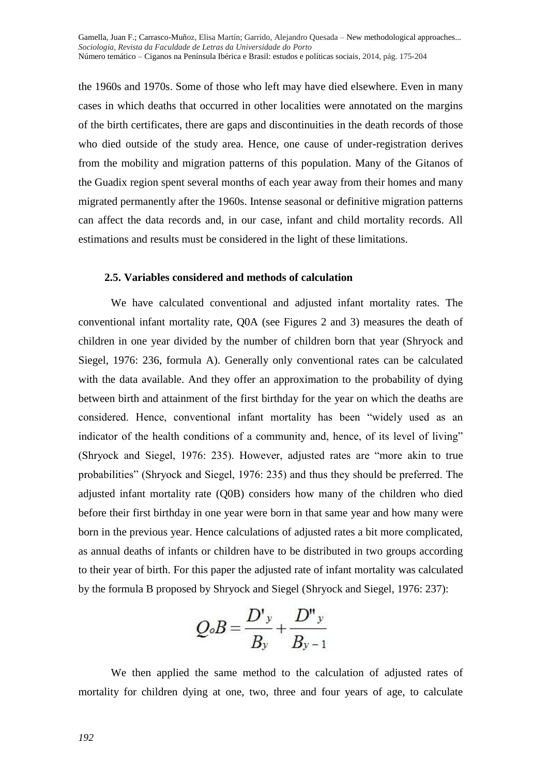the 1960s and 1970s. Some of those who left may have died elsewhere. Even in many cases in which deaths that occurred in other localities were annotated on the margins of the birth certificates, there are gaps and discontinuities in the death records of those who died outside of the study area. Hence, one cause of under-registration derives from the mobility and migration patterns of this population. Many of the Gitanos of the Guadix region spent several months of each year away from their homes and many migrated permanently after the 1960s. Intense seasonal or definitive migration patterns can affect the data records and, in our case, infant and child mortality records. All estimations and results must be considered in the light of these limitations.

# **2.5. Variables considered and methods of calculation**

We have calculated conventional and adjusted infant mortality rates. The conventional infant mortality rate, Q0A (see Figures 2 and 3) measures the death of children in one year divided by the number of children born that year (Shryock and Siegel, 1976: 236, formula A). Generally only conventional rates can be calculated with the data available. And they offer an approximation to the probability of dying between birth and attainment of the first birthday for the year on which the deaths are considered. Hence, conventional infant mortality has been "widely used as an indicator of the health conditions of a community and, hence, of its level of living" (Shryock and Siegel, 1976: 235). However, adjusted rates are "more akin to true probabilities" (Shryock and Siegel, 1976: 235) and thus they should be preferred. The adjusted infant mortality rate (Q0B) considers how many of the children who died before their first birthday in one year were born in that same year and how many were born in the previous year. Hence calculations of adjusted rates a bit more complicated, as annual deaths of infants or children have to be distributed in two groups according to their year of birth. For this paper the adjusted rate of infant mortality was calculated by the formula B proposed by Shryock and Siegel (Shryock and Siegel, 1976: 237):

$$
Q_oB = \frac{D'y}{B_y} + \frac{D''y}{B_{y-1}}
$$

We then applied the same method to the calculation of adjusted rates of mortality for children dying at one, two, three and four years of age, to calculate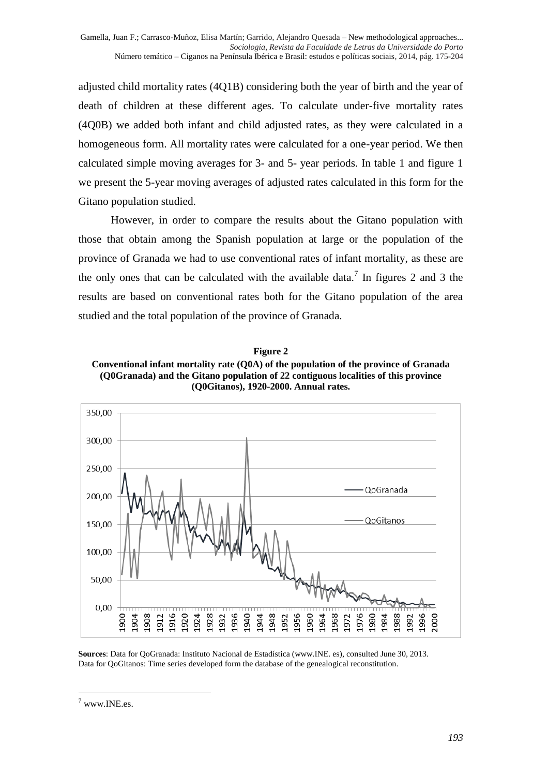adjusted child mortality rates (4Q1B) considering both the year of birth and the year of death of children at these different ages. To calculate under-five mortality rates (4Q0B) we added both infant and child adjusted rates, as they were calculated in a homogeneous form. All mortality rates were calculated for a one-year period. We then calculated simple moving averages for 3- and 5- year periods. In table 1 and figure 1 we present the 5-year moving averages of adjusted rates calculated in this form for the Gitano population studied.

However, in order to compare the results about the Gitano population with those that obtain among the Spanish population at large or the population of the province of Granada we had to use conventional rates of infant mortality, as these are the only ones that can be calculated with the available data.<sup>7</sup> In figures 2 and 3 the results are based on conventional rates both for the Gitano population of the area studied and the total population of the province of Granada.

**Figure 2 Conventional infant mortality rate (Q0A) of the population of the province of Granada (Q0Granada) and the Gitano population of 22 contiguous localities of this province (Q0Gitanos), 1920-2000. Annual rates.**



**Sources**: Data for QoGranada: Instituto Nacional de Estadística (www.INE. es), consulted June 30, 2013. Data for QoGitanos: Time series developed form the database of the genealogical reconstitution.

<sup>-</sup> $7$  www.INE.es.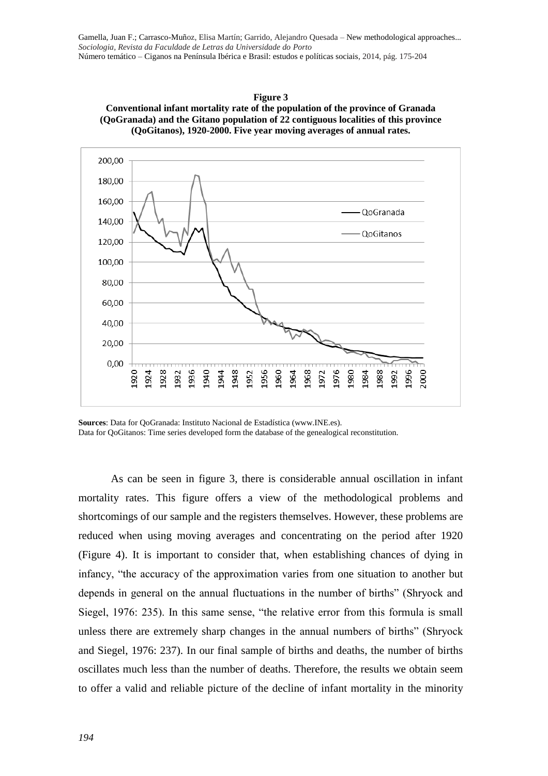



**Sources**: Data for QoGranada: Instituto Nacional de Estadística (www.INE.es). Data for QoGitanos: Time series developed form the database of the genealogical reconstitution.

As can be seen in figure 3, there is considerable annual oscillation in infant mortality rates. This figure offers a view of the methodological problems and shortcomings of our sample and the registers themselves. However, these problems are reduced when using moving averages and concentrating on the period after 1920 (Figure 4). It is important to consider that, when establishing chances of dying in infancy, "the accuracy of the approximation varies from one situation to another but depends in general on the annual fluctuations in the number of births" (Shryock and Siegel, 1976: 235). In this same sense, "the relative error from this formula is small unless there are extremely sharp changes in the annual numbers of births" (Shryock and Siegel, 1976: 237). In our final sample of births and deaths, the number of births oscillates much less than the number of deaths. Therefore, the results we obtain seem to offer a valid and reliable picture of the decline of infant mortality in the minority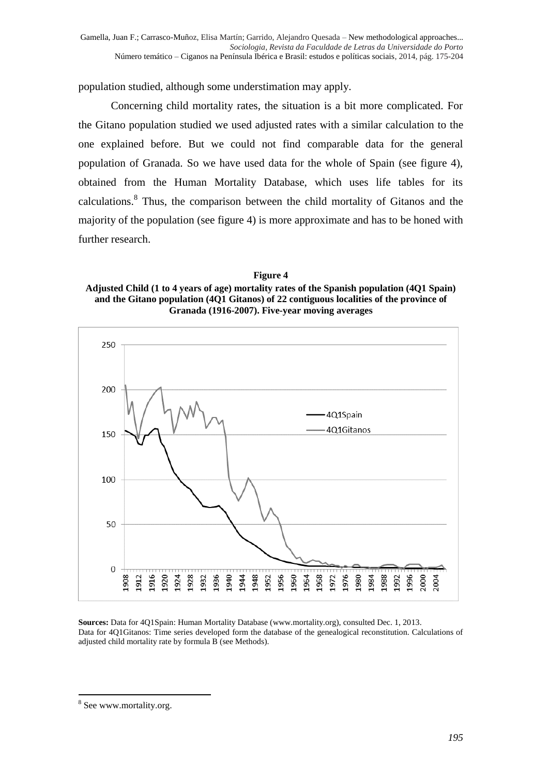population studied, although some understimation may apply.

Concerning child mortality rates, the situation is a bit more complicated. For the Gitano population studied we used adjusted rates with a similar calculation to the one explained before. But we could not find comparable data for the general population of Granada. So we have used data for the whole of Spain (see figure 4), obtained from the Human Mortality Database, which uses life tables for its calculations.<sup>8</sup> Thus, the comparison between the child mortality of Gitanos and the majority of the population (see figure 4) is more approximate and has to be honed with further research.

**Figure 4 Adjusted Child (1 to 4 years of age) mortality rates of the Spanish population (4Q1 Spain) and the Gitano population (4Q1 Gitanos) of 22 contiguous localities of the province of Granada (1916-2007). Five-year moving averages**



**Sources:** Data for 4Q1Spain: Human Mortality Database (www.mortality.org), consulted Dec. 1, 2013. Data for 4Q1Gitanos: Time series developed form the database of the genealogical reconstitution. Calculations of adjusted child mortality rate by formula B (see Methods).

<sup>-</sup><sup>8</sup> See www.mortality.org.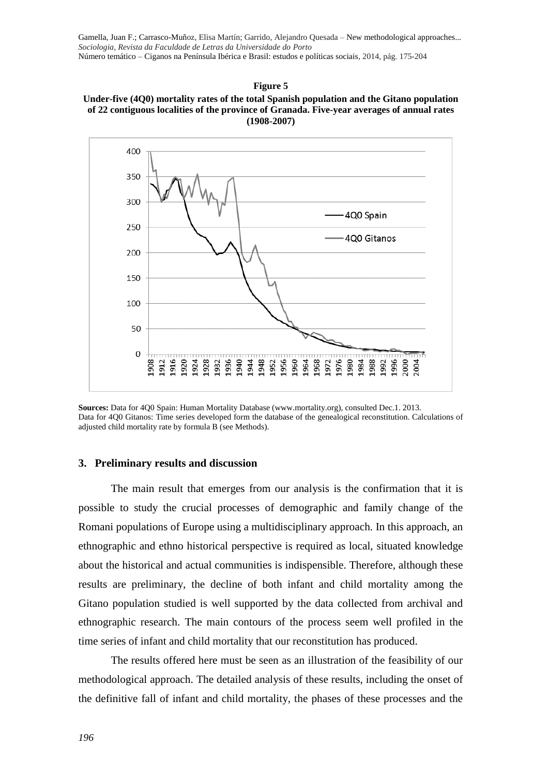#### **Figure 5**







#### **3. Preliminary results and discussion**

The main result that emerges from our analysis is the confirmation that it is possible to study the crucial processes of demographic and family change of the Romani populations of Europe using a multidisciplinary approach. In this approach, an ethnographic and ethno historical perspective is required as local, situated knowledge about the historical and actual communities is indispensible. Therefore, although these results are preliminary, the decline of both infant and child mortality among the Gitano population studied is well supported by the data collected from archival and ethnographic research. The main contours of the process seem well profiled in the time series of infant and child mortality that our reconstitution has produced.

The results offered here must be seen as an illustration of the feasibility of our methodological approach. The detailed analysis of these results, including the onset of the definitive fall of infant and child mortality, the phases of these processes and the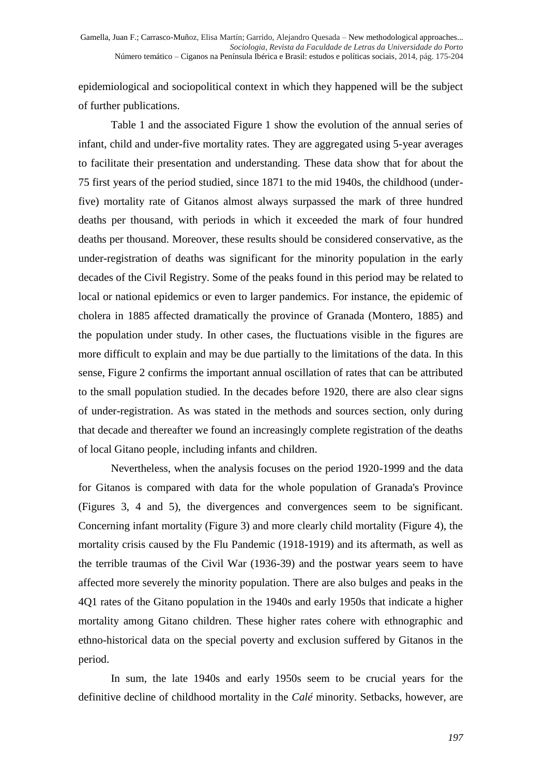epidemiological and sociopolitical context in which they happened will be the subject of further publications.

Table 1 and the associated Figure 1 show the evolution of the annual series of infant, child and under-five mortality rates. They are aggregated using 5-year averages to facilitate their presentation and understanding. These data show that for about the 75 first years of the period studied, since 1871 to the mid 1940s, the childhood (underfive) mortality rate of Gitanos almost always surpassed the mark of three hundred deaths per thousand, with periods in which it exceeded the mark of four hundred deaths per thousand. Moreover, these results should be considered conservative, as the under-registration of deaths was significant for the minority population in the early decades of the Civil Registry. Some of the peaks found in this period may be related to local or national epidemics or even to larger pandemics. For instance, the epidemic of cholera in 1885 affected dramatically the province of Granada (Montero, 1885) and the population under study. In other cases, the fluctuations visible in the figures are more difficult to explain and may be due partially to the limitations of the data. In this sense, Figure 2 confirms the important annual oscillation of rates that can be attributed to the small population studied. In the decades before 1920, there are also clear signs of under-registration. As was stated in the methods and sources section, only during that decade and thereafter we found an increasingly complete registration of the deaths of local Gitano people, including infants and children.

Nevertheless, when the analysis focuses on the period 1920-1999 and the data for Gitanos is compared with data for the whole population of Granada's Province (Figures 3, 4 and 5), the divergences and convergences seem to be significant. Concerning infant mortality (Figure 3) and more clearly child mortality (Figure 4), the mortality crisis caused by the Flu Pandemic (1918-1919) and its aftermath, as well as the terrible traumas of the Civil War (1936-39) and the postwar years seem to have affected more severely the minority population. There are also bulges and peaks in the 4Q1 rates of the Gitano population in the 1940s and early 1950s that indicate a higher mortality among Gitano children. These higher rates cohere with ethnographic and ethno-historical data on the special poverty and exclusion suffered by Gitanos in the period.

In sum, the late 1940s and early 1950s seem to be crucial years for the definitive decline of childhood mortality in the *Calé* minority. Setbacks, however, are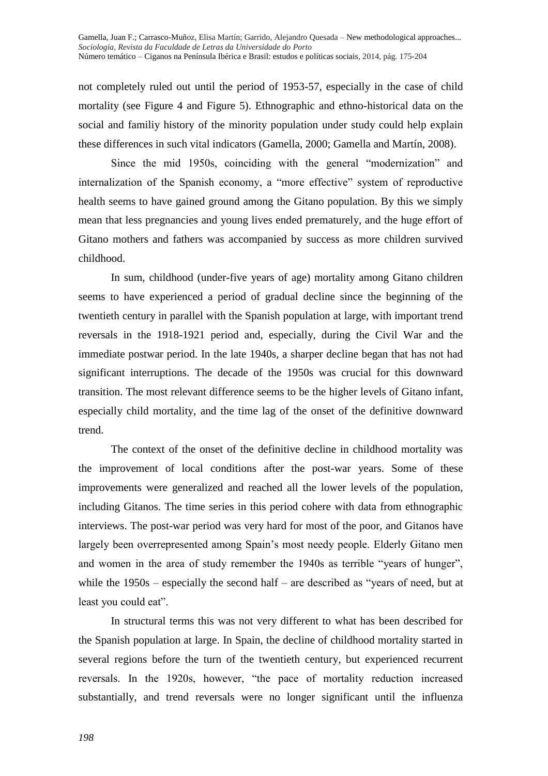not completely ruled out until the period of 1953-57, especially in the case of child mortality (see Figure 4 and Figure 5). Ethnographic and ethno-historical data on the social and familiy history of the minority population under study could help explain these differences in such vital indicators (Gamella, 2000; Gamella and Martín, 2008).

Since the mid 1950s, coinciding with the general "modernization" and internalization of the Spanish economy, a "more effective" system of reproductive health seems to have gained ground among the Gitano population. By this we simply mean that less pregnancies and young lives ended prematurely, and the huge effort of Gitano mothers and fathers was accompanied by success as more children survived childhood.

In sum, childhood (under-five years of age) mortality among Gitano children seems to have experienced a period of gradual decline since the beginning of the twentieth century in parallel with the Spanish population at large, with important trend reversals in the 1918-1921 period and, especially, during the Civil War and the immediate postwar period. In the late 1940s, a sharper decline began that has not had significant interruptions. The decade of the 1950s was crucial for this downward transition. The most relevant difference seems to be the higher levels of Gitano infant, especially child mortality, and the time lag of the onset of the definitive downward trend.

The context of the onset of the definitive decline in childhood mortality was the improvement of local conditions after the post-war years. Some of these improvements were generalized and reached all the lower levels of the population, including Gitanos. The time series in this period cohere with data from ethnographic interviews. The post-war period was very hard for most of the poor, and Gitanos have largely been overrepresented among Spain's most needy people. Elderly Gitano men and women in the area of study remember the 1940s as terrible "years of hunger", while the 1950s – especially the second half – are described as "years of need, but at least you could eat".

In structural terms this was not very different to what has been described for the Spanish population at large. In Spain, the decline of childhood mortality started in several regions before the turn of the twentieth century, but experienced recurrent reversals. In the 1920s, however, "the pace of mortality reduction increased substantially, and trend reversals were no longer significant until the influenza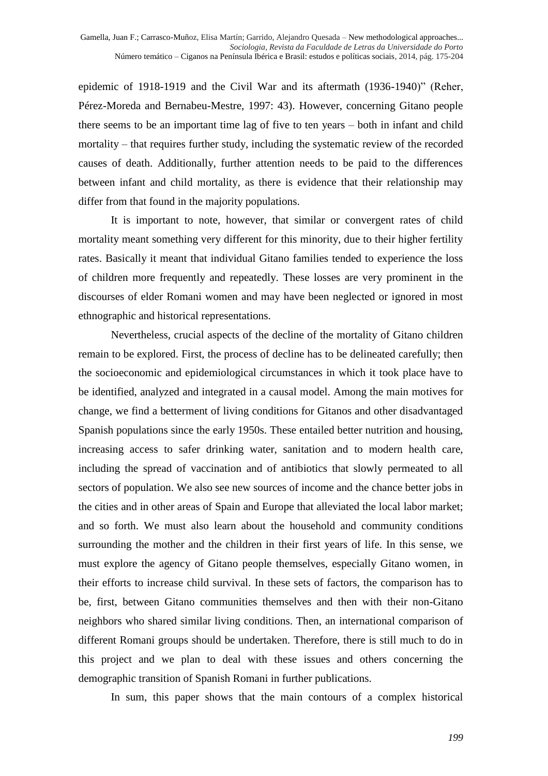epidemic of 1918-1919 and the Civil War and its aftermath (1936-1940)" (Reher, Pérez-Moreda and Bernabeu-Mestre, 1997: 43). However, concerning Gitano people there seems to be an important time lag of five to ten years – both in infant and child mortality – that requires further study, including the systematic review of the recorded causes of death. Additionally, further attention needs to be paid to the differences between infant and child mortality, as there is evidence that their relationship may differ from that found in the majority populations.

It is important to note, however, that similar or convergent rates of child mortality meant something very different for this minority, due to their higher fertility rates. Basically it meant that individual Gitano families tended to experience the loss of children more frequently and repeatedly. These losses are very prominent in the discourses of elder Romani women and may have been neglected or ignored in most ethnographic and historical representations.

Nevertheless, crucial aspects of the decline of the mortality of Gitano children remain to be explored. First, the process of decline has to be delineated carefully; then the socioeconomic and epidemiological circumstances in which it took place have to be identified, analyzed and integrated in a causal model. Among the main motives for change, we find a betterment of living conditions for Gitanos and other disadvantaged Spanish populations since the early 1950s. These entailed better nutrition and housing, increasing access to safer drinking water, sanitation and to modern health care, including the spread of vaccination and of antibiotics that slowly permeated to all sectors of population. We also see new sources of income and the chance better jobs in the cities and in other areas of Spain and Europe that alleviated the local labor market; and so forth. We must also learn about the household and community conditions surrounding the mother and the children in their first years of life. In this sense, we must explore the agency of Gitano people themselves, especially Gitano women, in their efforts to increase child survival. In these sets of factors, the comparison has to be, first, between Gitano communities themselves and then with their non-Gitano neighbors who shared similar living conditions. Then, an international comparison of different Romani groups should be undertaken. Therefore, there is still much to do in this project and we plan to deal with these issues and others concerning the demographic transition of Spanish Romani in further publications.

In sum, this paper shows that the main contours of a complex historical

*199*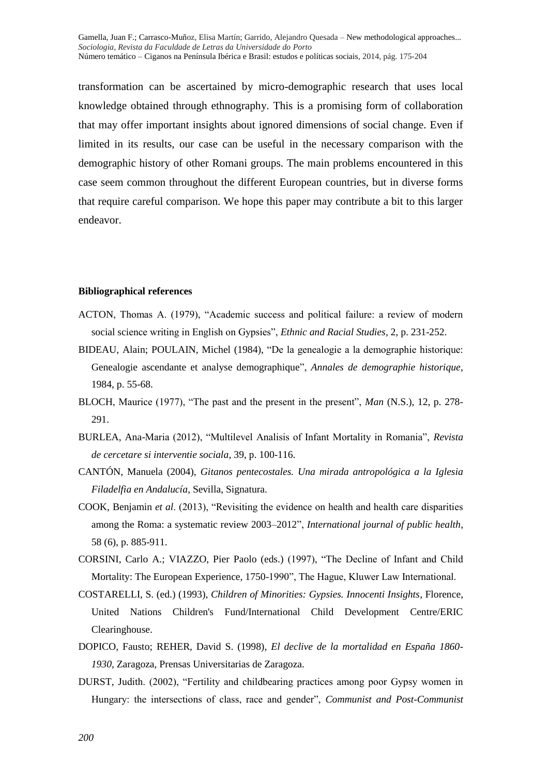transformation can be ascertained by micro-demographic research that uses local knowledge obtained through ethnography. This is a promising form of collaboration that may offer important insights about ignored dimensions of social change. Even if limited in its results, our case can be useful in the necessary comparison with the demographic history of other Romani groups. The main problems encountered in this case seem common throughout the different European countries, but in diverse forms that require careful comparison. We hope this paper may contribute a bit to this larger endeavor.

#### **Bibliographical references**

- ACTON, Thomas A. (1979), "Academic success and political failure: a review of modern social science writing in English on Gypsies", *Ethnic and Racial Studies*, 2, p. 231-252.
- BIDEAU, Alain; POULAIN, Michel (1984), "De la genealogie a la demographie historique: Genealogie ascendante et analyse demographique", *Annales de demographie historique*, 1984, p. 55-68.
- BLOCH, Maurice (1977), "The past and the present in the present", *Man* (N.S.), 12, p. 278- 291.
- BURLEA, Ana-Maria (2012), "Multilevel Analisis of Infant Mortality in Romania", *Revista de cercetare si interventie sociala*, 39, p. 100-116.
- CANTÓN, Manuela (2004), *Gitanos pentecostales. Una mirada antropológica a la Iglesia Filadelfia en Andalucía*, Sevilla, Signatura.
- COOK, Benjamin *et al*. (2013), "Revisiting the evidence on health and health care disparities among the Roma: a systematic review 2003–2012", *International journal of public health*, 58 (6), p. 885-911.
- CORSINI, Carlo A.; VIAZZO, Pier Paolo (eds.) (1997), "The Decline of Infant and Child Mortality: The European Experience, 1750-1990", The Hague, Kluwer Law International.
- COSTARELLI, S. (ed.) (1993), *Children of Minorities: Gypsies. Innocenti Insights*, Florence, United Nations Children's Fund/International Child Development Centre/ERIC Clearinghouse.
- DOPICO, Fausto; REHER, David S. (1998), *El declive de la mortalidad en España 1860- 1930*, Zaragoza, Prensas Universitarias de Zaragoza.
- DURST, Judith. (2002), "Fertility and childbearing practices among poor Gypsy women in Hungary: the intersections of class, race and gender", *Communist and Post-Communist*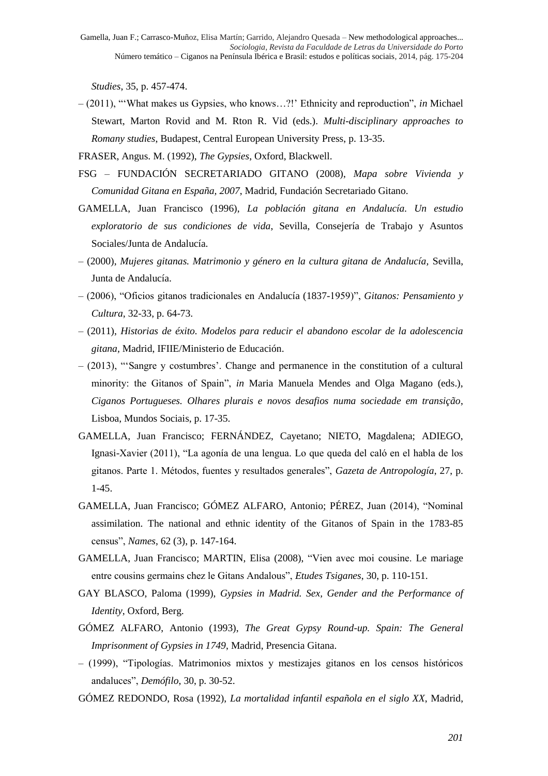*Studies*, 35, p. 457-474.

- (2011), "'What makes us Gypsies, who knows…?!' Ethnicity and reproduction", *in* Michael Stewart, Marton Rovid and M. Rton R. Vid (eds.). *Multi-disciplinary approaches to Romany studies*, Budapest, Central European University Press, p. 13-35.
- FRASER, Angus. M. (1992), *The Gypsies*, Oxford, Blackwell.
- FSG FUNDACIÓN SECRETARIADO GITANO (2008), *Mapa sobre Vivienda y Comunidad Gitana en España, 2007*, Madrid, Fundación Secretariado Gitano.
- GAMELLA, Juan Francisco (1996), *La población gitana en Andalucía. Un estudio exploratorio de sus condiciones de vida*, Sevilla, Consejería de Trabajo y Asuntos Sociales/Junta de Andalucía.
- (2000), *Mujeres gitanas. Matrimonio y género en la cultura gitana de Andalucía,* Sevilla, Junta de Andalucía.
- (2006), "Oficios gitanos tradicionales en Andalucía (1837-1959)", *Gitanos: Pensamiento y Cultura*, 32-33, p. 64-73.
- (2011), *Historias de éxito. Modelos para reducir el abandono escolar de la adolescencia gitana,* Madrid, IFIIE/Ministerio de Educación.
- (2013), "'Sangre y costumbres'. Change and permanence in the constitution of a cultural minority: the Gitanos of Spain", *in* Maria Manuela Mendes and Olga Magano (eds.), *Ciganos Portugueses. Olhares plurais e novos desafios numa sociedade em transição*, Lisboa, Mundos Sociais, p. 17-35.
- GAMELLA, Juan Francisco; FERNÁNDEZ, Cayetano; NIETO, Magdalena; ADIEGO, Ignasi-Xavier (2011), "La agonía de una lengua. Lo que queda del caló en el habla de los gitanos. Parte 1. Métodos, fuentes y resultados generales", *Gazeta de Antropología*, 27, p. 1-45.
- GAMELLA, Juan Francisco; GÓMEZ ALFARO, Antonio; PÉREZ, Juan (2014), "Nominal assimilation. The national and ethnic identity of the Gitanos of Spain in the 1783-85 census", *Names*, 62 (3), p. 147-164.
- GAMELLA, Juan Francisco; MARTIN, Elisa (2008), "Vien avec moi cousine. Le mariage entre cousins germains chez le Gitans Andalous", *Etudes Tsiganes*, 30, p. 110-151.
- GAY BLASCO, Paloma (1999), *Gypsies in Madrid. Sex, Gender and the Performance of Identity*, Oxford, Berg.
- GÓMEZ ALFARO, Antonio (1993), *The Great Gypsy Round-up. Spain: The General Imprisonment of Gypsies in 1749*, Madrid, Presencia Gitana.
- (1999), "Tipologías. Matrimonios mixtos y mestizajes gitanos en los censos históricos andaluces", *Demófilo*, 30, p. 30-52.
- GÓMEZ REDONDO, Rosa (1992), *La mortalidad infantil española en el siglo XX*, Madrid,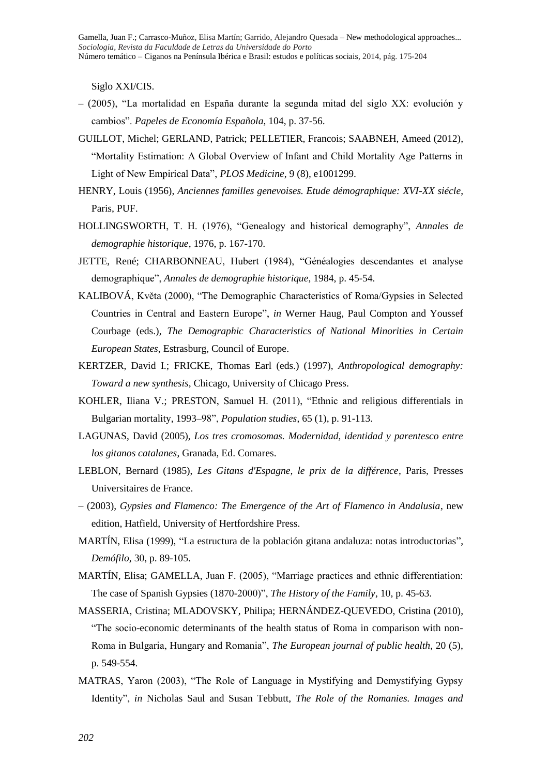Siglo XXI/CIS.

- (2005), "La mortalidad en España durante la segunda mitad del siglo XX: evolución y cambios". *Papeles de Economía Española*, 104, p. 37-56.
- GUILLOT, Michel; GERLAND, Patrick; PELLETIER, Francois; SAABNEH, Ameed (2012), "Mortality Estimation: A Global Overview of Infant and Child Mortality Age Patterns in Light of New Empirical Data", *PLOS Medicine*, 9 (8), e1001299.
- HENRY, Louis (1956), *Anciennes familles genevoises. Etude démographique: XVI-XX siécle*, Paris, PUF.
- HOLLINGSWORTH, T. H. (1976), "Genealogy and historical demography", *Annales de demographie historique*, 1976, p. 167-170.
- JETTE, René; CHARBONNEAU, Hubert (1984), "Généalogies descendantes et analyse demographique", *Annales de demographie historique*, 1984, p. 45-54.
- KALIBOVÁ, Květa (2000), "The Demographic Characteristics of Roma/Gypsies in Selected Countries in Central and Eastern Europe", *in* Werner Haug, Paul Compton and Youssef Courbage (eds.), *The Demographic Characteristics of National Minorities in Certain European States*, Estrasburg, Council of Europe.
- KERTZER, David I.; FRICKE, Thomas Earl (eds.) (1997), *Anthropological demography: Toward a new synthesis*, Chicago, University of Chicago Press.
- KOHLER, Iliana V.; PRESTON, Samuel H. (2011), "Ethnic and religious differentials in Bulgarian mortality, 1993–98", *Population studies*, 65 (1), p. 91-113.
- LAGUNAS, David (2005), *Los tres cromosomas. Modernidad, identidad y parentesco entre los gitanos catalanes*, Granada, Ed. Comares.
- LEBLON, Bernard (1985), *Les Gitans d'Espagne, le prix de la différence*, Paris, Presses Universitaires de France.
- (2003), *Gypsies and Flamenco: The Emergence of the Art of Flamenco in Andalusia*, new edition, Hatfield, University of Hertfordshire Press.
- MARTÍN, Elisa (1999), "La estructura de la población gitana andaluza: notas introductorias", *Demófilo*, 30, p. 89-105.
- MARTÍN, Elisa; GAMELLA, Juan F. (2005), "Marriage practices and ethnic differentiation: The case of Spanish Gypsies (1870-2000)", *The History of the Family*, 10, p. 45-63.
- MASSERIA, Cristina; MLADOVSKY, Philipa; HERNÁNDEZ-QUEVEDO, Cristina (2010), "The socio-economic determinants of the health status of Roma in comparison with non-Roma in Bulgaria, Hungary and Romania", *The European journal of public health*, 20 (5), p. 549-554.
- MATRAS, Yaron (2003), "The Role of Language in Mystifying and Demystifying Gypsy Identity", *in* Nicholas Saul and Susan Tebbutt, *The Role of the Romanies. Images and*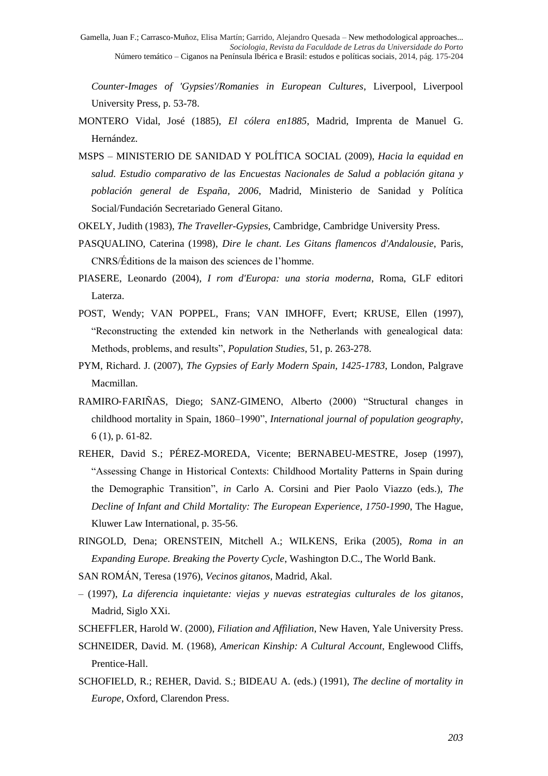*Counter-Images of 'Gypsies'/Romanies in European Cultures*, Liverpool, Liverpool University Press, p. 53-78.

- MONTERO Vidal, José (1885), *El cólera en1885*, Madrid, Imprenta de Manuel G. Hernández.
- MSPS MINISTERIO DE SANIDAD Y POLÍTICA SOCIAL (2009), *Hacia la equidad en salud. Estudio comparativo de las Encuestas Nacionales de Salud a población gitana y población general de España, 2006*, Madrid, Ministerio de Sanidad y Política Social/Fundación Secretariado General Gitano.
- OKELY, Judith (1983), *The Traveller-Gypsies*, Cambridge, Cambridge University Press.
- PASQUALINO, Caterina (1998), *Dire le chant. Les Gitans flamencos d'Andalousie*, Paris, CNRS/Éditions de la maison des sciences de l'homme.
- PIASERE, Leonardo (2004), *I rom d'Europa: una storia moderna*, Roma, GLF editori Laterza.
- POST, Wendy; VAN POPPEL, Frans; VAN IMHOFF, Evert; KRUSE, Ellen (1997), "Reconstructing the extended kin network in the Netherlands with genealogical data: Methods, problems, and results", *Population Studies*, 51, p. 263-278.
- PYM, Richard. J. (2007), *The Gypsies of Early Modern Spain, 1425-1783*, London, Palgrave Macmillan.
- RAMIRO‐FARIÑAS, Diego; SANZ‐GIMENO, Alberto (2000) "Structural changes in childhood mortality in Spain, 1860–1990", *International journal of population geography*, 6 (1), p. 61-82.
- REHER, David S.; PÉREZ-MOREDA, Vicente; BERNABEU-MESTRE, Josep (1997), "Assessing Change in Historical Contexts: Childhood Mortality Patterns in Spain during the Demographic Transition", *in* Carlo A. Corsini and Pier Paolo Viazzo (eds.), *The Decline of Infant and Child Mortality: The European Experience, 1750-1990*, The Hague, Kluwer Law International, p. 35-56.
- RINGOLD, Dena; ORENSTEIN, Mitchell A.; WILKENS, Erika (2005), *Roma in an Expanding Europe. Breaking the Poverty Cycle*, Washington D.C., The World Bank.
- SAN ROMÁN, Teresa (1976), *Vecinos gitanos*, Madrid, Akal.
- (1997), *La diferencia inquietante: viejas y nuevas estrategias culturales de los gitanos*, Madrid, Siglo XXi.
- SCHEFFLER, Harold W. (2000), *Filiation and Affiliation*, New Haven, Yale University Press.
- SCHNEIDER, David. M. (1968), *American Kinship: A Cultural Account*, Englewood Cliffs, Prentice-Hall.
- SCHOFIELD, R.; REHER, David. S.; BIDEAU A. (eds.) (1991), *The decline of mortality in Europe*, Oxford, Clarendon Press.